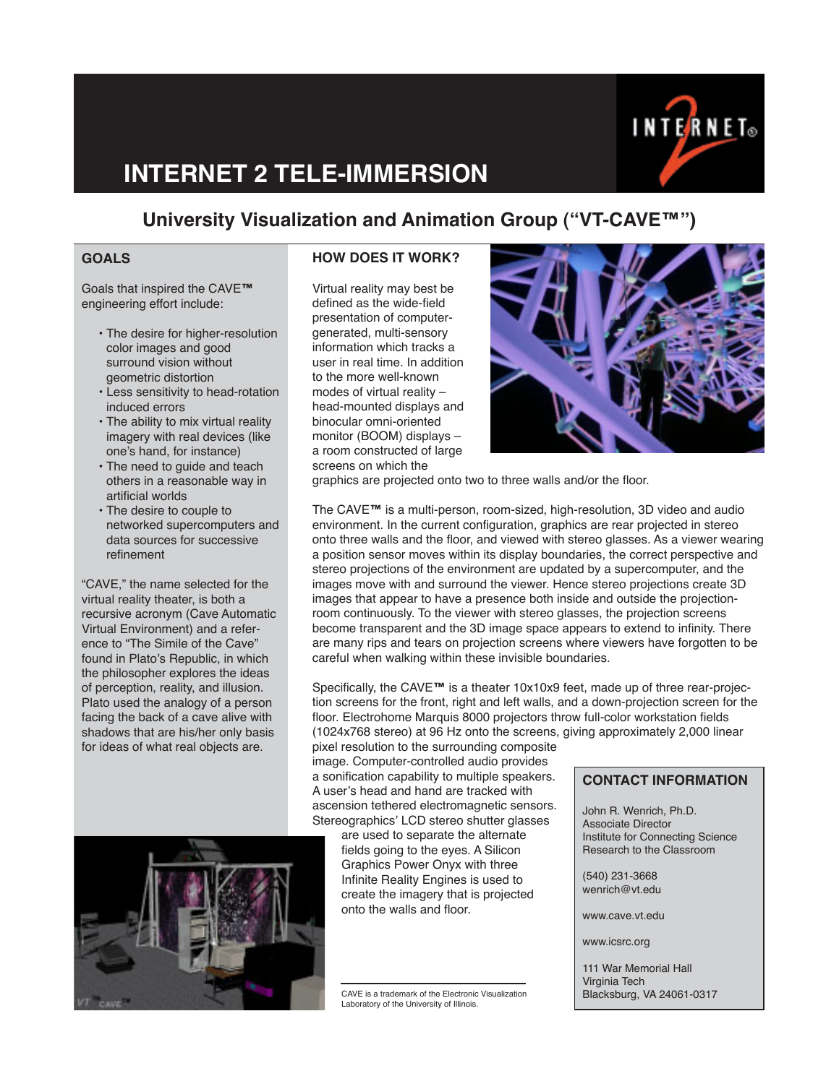

# **INTERNET 2 TELE-IMMERSION**

# **University Visualization and Animation Group ("VT-CAVE™")**

## **GOALS**

Goals that inspired the CAVE**™** engineering effort include:

- The desire for higher-resolution color images and good surround vision without geometric distortion
- Less sensitivity to head-rotation induced errors
- The ability to mix virtual reality imagery with real devices (like one's hand, for instance)
- The need to guide and teach others in a reasonable way in artificial worlds
- The desire to couple to networked supercomputers and data sources for successive refinement

"CAVE," the name selected for the virtual reality theater, is both a recursive acronym (Cave Automatic Virtual Environment) and a reference to "The Simile of the Cave" found in Plato's Republic, in which the philosopher explores the ideas of perception, reality, and illusion. Plato used the analogy of a person facing the back of a cave alive with shadows that are his/her only basis for ideas of what real objects are.



### **HOW DOES IT WORK?**

Virtual reality may best be defined as the wide-field presentation of computergenerated, multi-sensory information which tracks a user in real time. In addition to the more well-known modes of virtual reality – head-mounted displays and binocular omni-oriented monitor (BOOM) displays – a room constructed of large screens on which the



graphics are projected onto two to three walls and/or the floor.

The CAVE**™** is a multi-person, room-sized, high-resolution, 3D video and audio environment. In the current configuration, graphics are rear projected in stereo onto three walls and the floor, and viewed with stereo glasses. As a viewer wearing a position sensor moves within its display boundaries, the correct perspective and stereo projections of the environment are updated by a supercomputer, and the images move with and surround the viewer. Hence stereo projections create 3D images that appear to have a presence both inside and outside the projectionroom continuously. To the viewer with stereo glasses, the projection screens become transparent and the 3D image space appears to extend to infinity. There are many rips and tears on projection screens where viewers have forgotten to be careful when walking within these invisible boundaries.

Specifically, the CAVE**™** is a theater 10x10x9 feet, made up of three rear-projection screens for the front, right and left walls, and a down-projection screen for the floor. Electrohome Marquis 8000 projectors throw full-color workstation fields (1024x768 stereo) at 96 Hz onto the screens, giving approximately 2,000 linear

pixel resolution to the surrounding composite image. Computer-controlled audio provides a sonification capability to multiple speakers. A user's head and hand are tracked with ascension tethered electromagnetic sensors. Stereographics' LCD stereo shutter glasses

> are used to separate the alternate fields going to the eyes. A Silicon Graphics Power Onyx with three Infinite Reality Engines is used to create the imagery that is projected onto the walls and floor.

CAVE is a trademark of the Electronic Visualization Blacksburg, VA 24061-0317<br>Laboratory of the University of Illinois.

#### **CONTACT INFORMATION**

John R. Wenrich, Ph.D. Associate Director Institute for Connecting Science Research to the Classroom

(540) 231-3668 wenrich@vt.edu

www.cave.vt.edu

www.icsrc.org

111 War Memorial Hall Virginia Tech